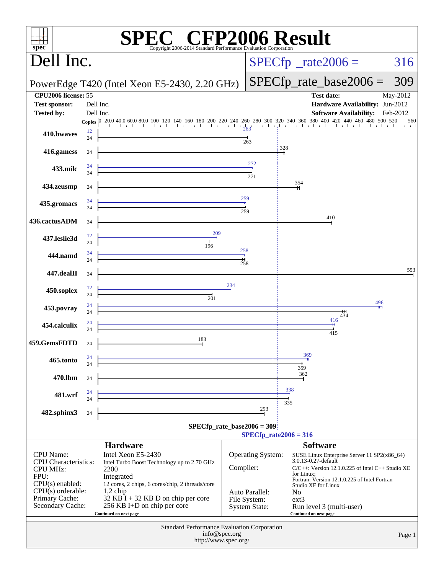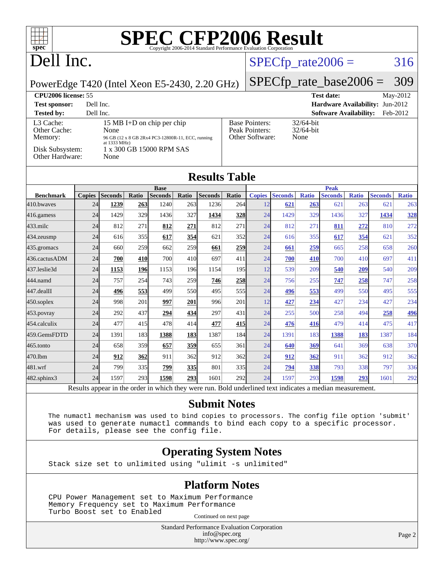

## Dell Inc.

### $SPECfp_rate2006 = 316$  $SPECfp_rate2006 = 316$

#### PowerEdge T420 (Intel Xeon E5-2430, 2.20 GHz)

# [SPECfp\\_rate\\_base2006 =](http://www.spec.org/auto/cpu2006/Docs/result-fields.html#SPECfpratebase2006) 309

| CPU <sub>2006</sub> license: 55                                            |                                                                                                                                             |                                                            | <b>Test date:</b>                    | May-2012 |
|----------------------------------------------------------------------------|---------------------------------------------------------------------------------------------------------------------------------------------|------------------------------------------------------------|--------------------------------------|----------|
| <b>Test sponsor:</b>                                                       | Dell Inc.                                                                                                                                   |                                                            | Hardware Availability: Jun-2012      |          |
| <b>Tested by:</b>                                                          | Dell Inc.                                                                                                                                   |                                                            | <b>Software Availability:</b>        | Feb-2012 |
| L3 Cache:<br>Other Cache:<br>Memory:<br>Disk Subsystem:<br>Other Hardware: | 15 MB I+D on chip per chip<br>None<br>96 GB (12 x 8 GB 2Rx4 PC3-12800R-11, ECC, running<br>at 1333 MHz)<br>1 x 300 GB 15000 RPM SAS<br>None | <b>Base Pointers:</b><br>Peak Pointers:<br>Other Software: | $32/64$ -bit<br>$32/64$ -bit<br>None |          |

| <b>Results Table</b> |               |                |       |                |                 |                |            |               |                |              |                |              |                |              |
|----------------------|---------------|----------------|-------|----------------|-----------------|----------------|------------|---------------|----------------|--------------|----------------|--------------|----------------|--------------|
|                      |               |                |       | <b>Base</b>    |                 |                |            |               |                |              | <b>Peak</b>    |              |                |              |
| <b>Benchmark</b>     | <b>Copies</b> | <b>Seconds</b> | Ratio | <b>Seconds</b> | Ratio           | <b>Seconds</b> | Ratio      | <b>Copies</b> | <b>Seconds</b> | <b>Ratio</b> | <b>Seconds</b> | <b>Ratio</b> | <b>Seconds</b> | <b>Ratio</b> |
| 410.bwayes           | 24            | 1239           | 263   | 1240           | 263             | 1236           | 264        | 12            | 621            | 263          | 621            | 263          | 621            | 263          |
| 416.gamess           | 24            | 1429           | 329   | 1436           | 327             | 1434           | <b>328</b> | 24            | 1429           | 329          | 1436           | 327          | 1434           | <u>328</u>   |
| 433.milc             | 24            | 812            | 271   | 812            | 271             | 812            | 271        | 24            | 812            | 271          | 811            | 272          | 810            | 272          |
| 434.zeusmp           | 24            | 616            | 355   | 617            | 354             | 621            | 352        | 24            | 616            | 355          | 617            | 354          | 621            | 352          |
| 435.gromacs          | 24            | 660            | 259   | 662            | 259l            | 661            | 259        | 24            | 661            | 259          | 665            | 258          | 658            | 260          |
| 436.cactusADM        | 24            | 700            | 410   | 700            | 41 <sub>0</sub> | 697            | 411        | 24            | 700            | 410          | 700            | 410          | 697            | 411          |
| 437.leslie3d         | 24            | 1153           | 196   | 1153           | 196             | 1154           | <b>195</b> | 12            | 539            | 209          | 540            | 209          | 540            | 209          |
| 444.namd             | 24            | 757            | 254   | 743            | <b>259</b>      | 746            | <b>258</b> | 24            | 756            | 255          | 747            | 258          | 747            | 258          |
| 447.dealII           | 24            | 496            | 553   | 499            | 550l            | 495            | 555I       | 24            | 496            | 553          | 499            | 550          | 495            | 555          |
| $450$ .soplex        | 24            | 998            | 201   | 997            | 201             | 996            | 201        | 12            | 427            | 234          | 427            | 234          | 427            | 234          |
| 453.povray           | 24            | 292            | 437   | 294            | 434             | 297            | 431        | 24            | 255            | 500          | 258            | 494          | 258            | 496          |
| 454.calculix         | 24            | 477            | 415   | 478            | 414             | 477            | 415        | 24            | 476            | 416          | 479            | 414          | 475            | 417          |
| 459.GemsFDTD         | 24            | 1391           | 183   | 1388           | <b>183</b>      | 1387           | 184        | 24            | 1391           | 183          | 1388           | 183          | 1387           | 184          |
| 465.tonto            | 24            | 658            | 359   | 657            | 359             | 655            | 361        | 24            | 640            | 369          | 641            | 369          | 638            | 370          |
| 470.1bm              | 24            | 912            | 362   | 911            | 362             | 912            | 362        | 24            | 912            | 362          | 911            | 362          | 912            | 362          |
| 481.wrf              | 24            | 799            | 335   | 799            | <u>335</u>      | 801            | 335        | 24            | 794            | <b>338</b>   | 793            | 338          | 797            | 336          |
| 482.sphinx3          | 24            | 1597           | 293   | 1598           | 293             | 1601           | 292        | 24            | 1597           | 293          | <u>1598</u>    | <u>293</u>   | 1601           | 292          |

Results appear in the [order in which they were run.](http://www.spec.org/auto/cpu2006/Docs/result-fields.html#RunOrder) Bold underlined text [indicates a median measurement.](http://www.spec.org/auto/cpu2006/Docs/result-fields.html#Median)

#### **[Submit Notes](http://www.spec.org/auto/cpu2006/Docs/result-fields.html#SubmitNotes)**

 The numactl mechanism was used to bind copies to processors. The config file option 'submit' was used to generate numactl commands to bind each copy to a specific processor. For details, please see the config file.

#### **[Operating System Notes](http://www.spec.org/auto/cpu2006/Docs/result-fields.html#OperatingSystemNotes)**

Stack size set to unlimited using "ulimit -s unlimited"

#### **[Platform Notes](http://www.spec.org/auto/cpu2006/Docs/result-fields.html#PlatformNotes)**

 CPU Power Management set to Maximum Performance Memory Frequency set to Maximum Performance Turbo Boost set to Enabled Continued on next page

> Standard Performance Evaluation Corporation [info@spec.org](mailto:info@spec.org) <http://www.spec.org/>

Page 2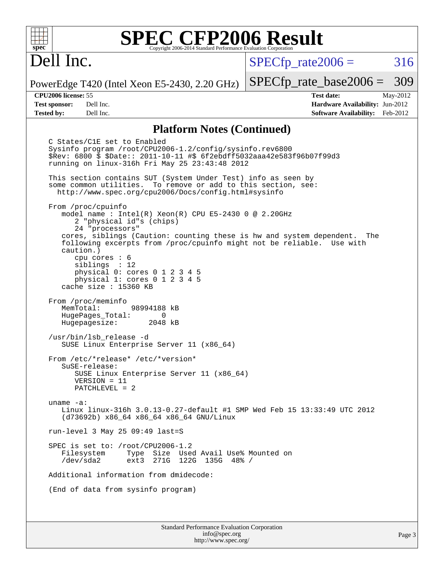## Dell Inc.

 $SPECTp\_rate2006 = 316$ 

PowerEdge T420 (Intel Xeon E5-2430, 2.20 GHz)

**[Test sponsor:](http://www.spec.org/auto/cpu2006/Docs/result-fields.html#Testsponsor)** Dell Inc. **[Hardware Availability:](http://www.spec.org/auto/cpu2006/Docs/result-fields.html#HardwareAvailability)** Jun-2012 **[Tested by:](http://www.spec.org/auto/cpu2006/Docs/result-fields.html#Testedby)** Dell Inc. **[Software Availability:](http://www.spec.org/auto/cpu2006/Docs/result-fields.html#SoftwareAvailability)** Feb-2012

[SPECfp\\_rate\\_base2006 =](http://www.spec.org/auto/cpu2006/Docs/result-fields.html#SPECfpratebase2006) 309 **[CPU2006 license:](http://www.spec.org/auto/cpu2006/Docs/result-fields.html#CPU2006license)** 55 **[Test date:](http://www.spec.org/auto/cpu2006/Docs/result-fields.html#Testdate)** May-2012

#### **[Platform Notes \(Continued\)](http://www.spec.org/auto/cpu2006/Docs/result-fields.html#PlatformNotes)**

 C States/C1E set to Enabled Sysinfo program /root/CPU2006-1.2/config/sysinfo.rev6800 \$Rev: 6800 \$ \$Date:: 2011-10-11 #\$ 6f2ebdff5032aaa42e583f96b07f99d3 running on linux-316h Fri May 25 23:43:48 2012 This section contains SUT (System Under Test) info as seen by some common utilities. To remove or add to this section, see: <http://www.spec.org/cpu2006/Docs/config.html#sysinfo> From /proc/cpuinfo model name : Intel(R) Xeon(R) CPU E5-2430 0 @ 2.20GHz 2 "physical id"s (chips) 24 "processors" cores, siblings (Caution: counting these is hw and system dependent. The following excerpts from /proc/cpuinfo might not be reliable. Use with caution.) cpu cores : 6 siblings : 12 physical 0: cores 0 1 2 3 4 5 physical 1: cores 0 1 2 3 4 5 cache size : 15360 KB From /proc/meminfo MemTotal: 98994188 kB HugePages\_Total: 0<br>Hugepagesize: 2048 kB Hugepagesize: /usr/bin/lsb\_release -d SUSE Linux Enterprise Server 11 (x86\_64) From /etc/\*release\* /etc/\*version\* SuSE-release: SUSE Linux Enterprise Server 11 (x86\_64) VERSION = 11 PATCHLEVEL = 2 uname -a: Linux linux-316h 3.0.13-0.27-default #1 SMP Wed Feb 15 13:33:49 UTC 2012 (d73692b) x86\_64 x86\_64 x86\_64 GNU/Linux run-level 3 May 25 09:49 last=S SPEC is set to: /root/CPU2006-1.2<br>Filesystem Type Size Use Type Size Used Avail Use% Mounted on /dev/sda2 ext3 271G 122G 135G 48% / Additional information from dmidecode: (End of data from sysinfo program)

Standard Performance Evaluation Corporation [info@spec.org](mailto:info@spec.org) <http://www.spec.org/>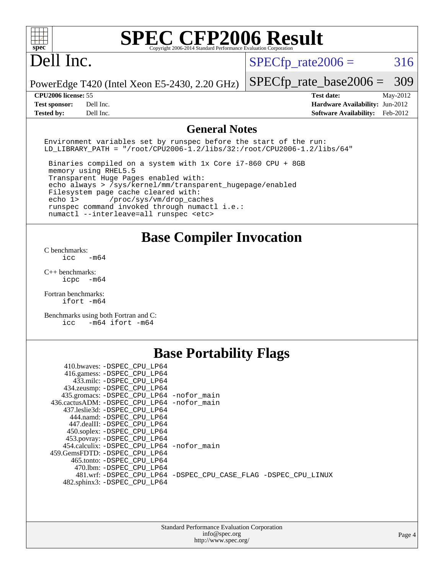## Dell Inc.

 $SPECTp_rate2006 = 316$ 

PowerEdge T420 (Intel Xeon E5-2430, 2.20 GHz)

**[Tested by:](http://www.spec.org/auto/cpu2006/Docs/result-fields.html#Testedby)** Dell Inc. **[Software Availability:](http://www.spec.org/auto/cpu2006/Docs/result-fields.html#SoftwareAvailability)** Feb-2012

[SPECfp\\_rate\\_base2006 =](http://www.spec.org/auto/cpu2006/Docs/result-fields.html#SPECfpratebase2006) 309 **[CPU2006 license:](http://www.spec.org/auto/cpu2006/Docs/result-fields.html#CPU2006license)** 55 **[Test date:](http://www.spec.org/auto/cpu2006/Docs/result-fields.html#Testdate)** May-2012 **[Test sponsor:](http://www.spec.org/auto/cpu2006/Docs/result-fields.html#Testsponsor)** Dell Inc. **[Hardware Availability:](http://www.spec.org/auto/cpu2006/Docs/result-fields.html#HardwareAvailability)** Jun-2012

#### **[General Notes](http://www.spec.org/auto/cpu2006/Docs/result-fields.html#GeneralNotes)**

Environment variables set by runspec before the start of the run: LD LIBRARY PATH = "/root/CPU2006-1.2/libs/32:/root/CPU2006-1.2/libs/64"

 Binaries compiled on a system with 1x Core i7-860 CPU + 8GB memory using RHEL5.5 Transparent Huge Pages enabled with: echo always > /sys/kernel/mm/transparent\_hugepage/enabled Filesystem page cache cleared with: echo 1> /proc/sys/vm/drop\_caches runspec command invoked through numactl i.e.: numactl --interleave=all runspec <etc>

#### **[Base Compiler Invocation](http://www.spec.org/auto/cpu2006/Docs/result-fields.html#BaseCompilerInvocation)**

[C benchmarks](http://www.spec.org/auto/cpu2006/Docs/result-fields.html#Cbenchmarks):  $\frac{1}{2}$ cc  $-\text{m64}$ 

[C++ benchmarks:](http://www.spec.org/auto/cpu2006/Docs/result-fields.html#CXXbenchmarks) [icpc -m64](http://www.spec.org/cpu2006/results/res2012q3/cpu2006-20120703-23445.flags.html#user_CXXbase_intel_icpc_64bit_bedb90c1146cab66620883ef4f41a67e)

[Fortran benchmarks](http://www.spec.org/auto/cpu2006/Docs/result-fields.html#Fortranbenchmarks): [ifort -m64](http://www.spec.org/cpu2006/results/res2012q3/cpu2006-20120703-23445.flags.html#user_FCbase_intel_ifort_64bit_ee9d0fb25645d0210d97eb0527dcc06e)

[Benchmarks using both Fortran and C](http://www.spec.org/auto/cpu2006/Docs/result-fields.html#BenchmarksusingbothFortranandC): [icc -m64](http://www.spec.org/cpu2006/results/res2012q3/cpu2006-20120703-23445.flags.html#user_CC_FCbase_intel_icc_64bit_0b7121f5ab7cfabee23d88897260401c) [ifort -m64](http://www.spec.org/cpu2006/results/res2012q3/cpu2006-20120703-23445.flags.html#user_CC_FCbase_intel_ifort_64bit_ee9d0fb25645d0210d97eb0527dcc06e)

#### **[Base Portability Flags](http://www.spec.org/auto/cpu2006/Docs/result-fields.html#BasePortabilityFlags)**

| 410.bwaves: -DSPEC CPU LP64                  |                                                                |
|----------------------------------------------|----------------------------------------------------------------|
| 416.gamess: -DSPEC_CPU_LP64                  |                                                                |
| 433.milc: -DSPEC CPU LP64                    |                                                                |
| 434.zeusmp: -DSPEC_CPU_LP64                  |                                                                |
| 435.gromacs: -DSPEC_CPU_LP64 -nofor_main     |                                                                |
| 436.cactusADM: - DSPEC CPU LP64 - nofor main |                                                                |
| 437.leslie3d: -DSPEC CPU LP64                |                                                                |
| 444.namd: -DSPEC CPU LP64                    |                                                                |
| 447.dealII: -DSPEC CPU LP64                  |                                                                |
| 450.soplex: -DSPEC_CPU_LP64                  |                                                                |
| 453.povray: -DSPEC_CPU_LP64                  |                                                                |
| 454.calculix: -DSPEC CPU LP64 -nofor main    |                                                                |
| 459.GemsFDTD: -DSPEC CPU LP64                |                                                                |
| 465.tonto: - DSPEC CPU LP64                  |                                                                |
| 470.1bm: - DSPEC CPU LP64                    |                                                                |
|                                              | 481.wrf: -DSPEC CPU_LP64 -DSPEC_CPU_CASE_FLAG -DSPEC_CPU_LINUX |
| 482.sphinx3: -DSPEC_CPU_LP64                 |                                                                |
|                                              |                                                                |

| <b>Standard Performance Evaluation Corporation</b> |
|----------------------------------------------------|
| info@spec.org                                      |
| http://www.spec.org/                               |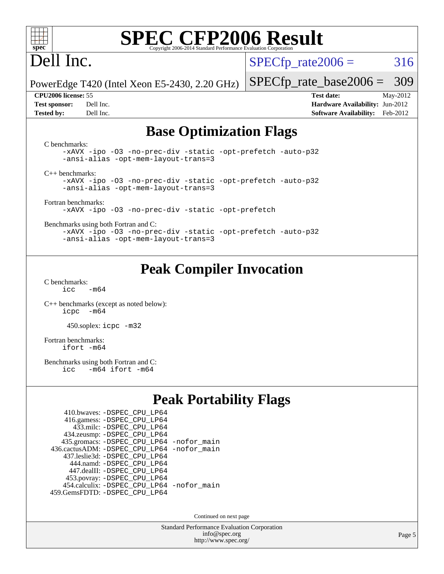

## Dell Inc.

 $SPECTp\_rate2006 = 316$ 

PowerEdge T420 (Intel Xeon E5-2430, 2.20 GHz)

[SPECfp\\_rate\\_base2006 =](http://www.spec.org/auto/cpu2006/Docs/result-fields.html#SPECfpratebase2006) 309 **[CPU2006 license:](http://www.spec.org/auto/cpu2006/Docs/result-fields.html#CPU2006license)** 55 **[Test date:](http://www.spec.org/auto/cpu2006/Docs/result-fields.html#Testdate)** May-2012

**[Test sponsor:](http://www.spec.org/auto/cpu2006/Docs/result-fields.html#Testsponsor)** Dell Inc. **[Hardware Availability:](http://www.spec.org/auto/cpu2006/Docs/result-fields.html#HardwareAvailability)** Jun-2012 **[Tested by:](http://www.spec.org/auto/cpu2006/Docs/result-fields.html#Testedby)** Dell Inc. **[Software Availability:](http://www.spec.org/auto/cpu2006/Docs/result-fields.html#SoftwareAvailability)** Feb-2012

#### **[Base Optimization Flags](http://www.spec.org/auto/cpu2006/Docs/result-fields.html#BaseOptimizationFlags)**

[C benchmarks](http://www.spec.org/auto/cpu2006/Docs/result-fields.html#Cbenchmarks): [-xAVX](http://www.spec.org/cpu2006/results/res2012q3/cpu2006-20120703-23445.flags.html#user_CCbase_f-xAVX) [-ipo](http://www.spec.org/cpu2006/results/res2012q3/cpu2006-20120703-23445.flags.html#user_CCbase_f-ipo) [-O3](http://www.spec.org/cpu2006/results/res2012q3/cpu2006-20120703-23445.flags.html#user_CCbase_f-O3) [-no-prec-div](http://www.spec.org/cpu2006/results/res2012q3/cpu2006-20120703-23445.flags.html#user_CCbase_f-no-prec-div) [-static](http://www.spec.org/cpu2006/results/res2012q3/cpu2006-20120703-23445.flags.html#user_CCbase_f-static) [-opt-prefetch](http://www.spec.org/cpu2006/results/res2012q3/cpu2006-20120703-23445.flags.html#user_CCbase_f-opt-prefetch) [-auto-p32](http://www.spec.org/cpu2006/results/res2012q3/cpu2006-20120703-23445.flags.html#user_CCbase_f-auto-p32) [-ansi-alias](http://www.spec.org/cpu2006/results/res2012q3/cpu2006-20120703-23445.flags.html#user_CCbase_f-ansi-alias) [-opt-mem-layout-trans=3](http://www.spec.org/cpu2006/results/res2012q3/cpu2006-20120703-23445.flags.html#user_CCbase_f-opt-mem-layout-trans_a7b82ad4bd7abf52556d4961a2ae94d5) [C++ benchmarks:](http://www.spec.org/auto/cpu2006/Docs/result-fields.html#CXXbenchmarks) [-xAVX](http://www.spec.org/cpu2006/results/res2012q3/cpu2006-20120703-23445.flags.html#user_CXXbase_f-xAVX) [-ipo](http://www.spec.org/cpu2006/results/res2012q3/cpu2006-20120703-23445.flags.html#user_CXXbase_f-ipo) [-O3](http://www.spec.org/cpu2006/results/res2012q3/cpu2006-20120703-23445.flags.html#user_CXXbase_f-O3) [-no-prec-div](http://www.spec.org/cpu2006/results/res2012q3/cpu2006-20120703-23445.flags.html#user_CXXbase_f-no-prec-div) [-static](http://www.spec.org/cpu2006/results/res2012q3/cpu2006-20120703-23445.flags.html#user_CXXbase_f-static) [-opt-prefetch](http://www.spec.org/cpu2006/results/res2012q3/cpu2006-20120703-23445.flags.html#user_CXXbase_f-opt-prefetch) [-auto-p32](http://www.spec.org/cpu2006/results/res2012q3/cpu2006-20120703-23445.flags.html#user_CXXbase_f-auto-p32) [-ansi-alias](http://www.spec.org/cpu2006/results/res2012q3/cpu2006-20120703-23445.flags.html#user_CXXbase_f-ansi-alias) [-opt-mem-layout-trans=3](http://www.spec.org/cpu2006/results/res2012q3/cpu2006-20120703-23445.flags.html#user_CXXbase_f-opt-mem-layout-trans_a7b82ad4bd7abf52556d4961a2ae94d5) [Fortran benchmarks](http://www.spec.org/auto/cpu2006/Docs/result-fields.html#Fortranbenchmarks): [-xAVX](http://www.spec.org/cpu2006/results/res2012q3/cpu2006-20120703-23445.flags.html#user_FCbase_f-xAVX) [-ipo](http://www.spec.org/cpu2006/results/res2012q3/cpu2006-20120703-23445.flags.html#user_FCbase_f-ipo) [-O3](http://www.spec.org/cpu2006/results/res2012q3/cpu2006-20120703-23445.flags.html#user_FCbase_f-O3) [-no-prec-div](http://www.spec.org/cpu2006/results/res2012q3/cpu2006-20120703-23445.flags.html#user_FCbase_f-no-prec-div) [-static](http://www.spec.org/cpu2006/results/res2012q3/cpu2006-20120703-23445.flags.html#user_FCbase_f-static) [-opt-prefetch](http://www.spec.org/cpu2006/results/res2012q3/cpu2006-20120703-23445.flags.html#user_FCbase_f-opt-prefetch) [Benchmarks using both Fortran and C](http://www.spec.org/auto/cpu2006/Docs/result-fields.html#BenchmarksusingbothFortranandC): [-xAVX](http://www.spec.org/cpu2006/results/res2012q3/cpu2006-20120703-23445.flags.html#user_CC_FCbase_f-xAVX) [-ipo](http://www.spec.org/cpu2006/results/res2012q3/cpu2006-20120703-23445.flags.html#user_CC_FCbase_f-ipo) [-O3](http://www.spec.org/cpu2006/results/res2012q3/cpu2006-20120703-23445.flags.html#user_CC_FCbase_f-O3) [-no-prec-div](http://www.spec.org/cpu2006/results/res2012q3/cpu2006-20120703-23445.flags.html#user_CC_FCbase_f-no-prec-div) [-static](http://www.spec.org/cpu2006/results/res2012q3/cpu2006-20120703-23445.flags.html#user_CC_FCbase_f-static) [-opt-prefetch](http://www.spec.org/cpu2006/results/res2012q3/cpu2006-20120703-23445.flags.html#user_CC_FCbase_f-opt-prefetch) [-auto-p32](http://www.spec.org/cpu2006/results/res2012q3/cpu2006-20120703-23445.flags.html#user_CC_FCbase_f-auto-p32) [-ansi-alias](http://www.spec.org/cpu2006/results/res2012q3/cpu2006-20120703-23445.flags.html#user_CC_FCbase_f-ansi-alias) [-opt-mem-layout-trans=3](http://www.spec.org/cpu2006/results/res2012q3/cpu2006-20120703-23445.flags.html#user_CC_FCbase_f-opt-mem-layout-trans_a7b82ad4bd7abf52556d4961a2ae94d5)

### **[Peak Compiler Invocation](http://www.spec.org/auto/cpu2006/Docs/result-fields.html#PeakCompilerInvocation)**

[C benchmarks](http://www.spec.org/auto/cpu2006/Docs/result-fields.html#Cbenchmarks):  $icc$   $-m64$ 

[C++ benchmarks \(except as noted below\):](http://www.spec.org/auto/cpu2006/Docs/result-fields.html#CXXbenchmarksexceptasnotedbelow) [icpc -m64](http://www.spec.org/cpu2006/results/res2012q3/cpu2006-20120703-23445.flags.html#user_CXXpeak_intel_icpc_64bit_bedb90c1146cab66620883ef4f41a67e)

450.soplex: [icpc -m32](http://www.spec.org/cpu2006/results/res2012q3/cpu2006-20120703-23445.flags.html#user_peakCXXLD450_soplex_intel_icpc_4e5a5ef1a53fd332b3c49e69c3330699)

[Fortran benchmarks](http://www.spec.org/auto/cpu2006/Docs/result-fields.html#Fortranbenchmarks): [ifort -m64](http://www.spec.org/cpu2006/results/res2012q3/cpu2006-20120703-23445.flags.html#user_FCpeak_intel_ifort_64bit_ee9d0fb25645d0210d97eb0527dcc06e)

[Benchmarks using both Fortran and C](http://www.spec.org/auto/cpu2006/Docs/result-fields.html#BenchmarksusingbothFortranandC):<br>icc -m64 ifort -m64  $-m64$  ifort  $-m64$ 

### **[Peak Portability Flags](http://www.spec.org/auto/cpu2006/Docs/result-fields.html#PeakPortabilityFlags)**

| 410.bwaves: - DSPEC_CPU_LP64                 |  |
|----------------------------------------------|--|
| 416.gamess: -DSPEC_CPU_LP64                  |  |
| 433.milc: - DSPEC_CPU LP64                   |  |
| 434.zeusmp: -DSPEC_CPU_LP64                  |  |
| 435.gromacs: -DSPEC_CPU_LP64 -nofor_main     |  |
| 436.cactusADM: - DSPEC CPU LP64 - nofor main |  |
| 437.leslie3d: -DSPEC CPU LP64                |  |
| 444.namd: - DSPEC CPU LP64                   |  |
| 447.dealII: -DSPEC CPU LP64                  |  |
| 453.povray: -DSPEC_CPU_LP64                  |  |
| 454.calculix: - DSPEC CPU LP64 - nofor main  |  |
| 459.GemsFDTD: - DSPEC_CPU_LP64               |  |

Continued on next page

Standard Performance Evaluation Corporation [info@spec.org](mailto:info@spec.org) <http://www.spec.org/>

Page 5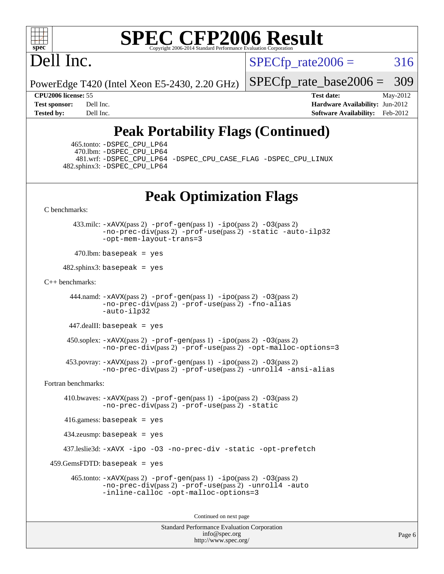

# Dell Inc.

 $SPECTp\_rate2006 = 316$ 

PowerEdge T420 (Intel Xeon E5-2430, 2.20 GHz)

[SPECfp\\_rate\\_base2006 =](http://www.spec.org/auto/cpu2006/Docs/result-fields.html#SPECfpratebase2006) 309

**[CPU2006 license:](http://www.spec.org/auto/cpu2006/Docs/result-fields.html#CPU2006license)** 55 **[Test date:](http://www.spec.org/auto/cpu2006/Docs/result-fields.html#Testdate)** May-2012 **[Test sponsor:](http://www.spec.org/auto/cpu2006/Docs/result-fields.html#Testsponsor)** Dell Inc. **[Hardware Availability:](http://www.spec.org/auto/cpu2006/Docs/result-fields.html#HardwareAvailability)** Jun-2012 **[Tested by:](http://www.spec.org/auto/cpu2006/Docs/result-fields.html#Testedby)** Dell Inc. **[Software Availability:](http://www.spec.org/auto/cpu2006/Docs/result-fields.html#SoftwareAvailability)** Feb-2012

## **[Peak Portability Flags \(Continued\)](http://www.spec.org/auto/cpu2006/Docs/result-fields.html#PeakPortabilityFlags)**

 465.tonto: [-DSPEC\\_CPU\\_LP64](http://www.spec.org/cpu2006/results/res2012q3/cpu2006-20120703-23445.flags.html#suite_peakPORTABILITY465_tonto_DSPEC_CPU_LP64) 470.lbm: [-DSPEC\\_CPU\\_LP64](http://www.spec.org/cpu2006/results/res2012q3/cpu2006-20120703-23445.flags.html#suite_peakPORTABILITY470_lbm_DSPEC_CPU_LP64) 481.wrf: [-DSPEC\\_CPU\\_LP64](http://www.spec.org/cpu2006/results/res2012q3/cpu2006-20120703-23445.flags.html#suite_peakPORTABILITY481_wrf_DSPEC_CPU_LP64) [-DSPEC\\_CPU\\_CASE\\_FLAG](http://www.spec.org/cpu2006/results/res2012q3/cpu2006-20120703-23445.flags.html#b481.wrf_peakCPORTABILITY_DSPEC_CPU_CASE_FLAG) [-DSPEC\\_CPU\\_LINUX](http://www.spec.org/cpu2006/results/res2012q3/cpu2006-20120703-23445.flags.html#b481.wrf_peakCPORTABILITY_DSPEC_CPU_LINUX) 482.sphinx3: [-DSPEC\\_CPU\\_LP64](http://www.spec.org/cpu2006/results/res2012q3/cpu2006-20120703-23445.flags.html#suite_peakPORTABILITY482_sphinx3_DSPEC_CPU_LP64)

### **[Peak Optimization Flags](http://www.spec.org/auto/cpu2006/Docs/result-fields.html#PeakOptimizationFlags)**

[C benchmarks](http://www.spec.org/auto/cpu2006/Docs/result-fields.html#Cbenchmarks):

 433.milc: [-xAVX](http://www.spec.org/cpu2006/results/res2012q3/cpu2006-20120703-23445.flags.html#user_peakPASS2_CFLAGSPASS2_LDFLAGS433_milc_f-xAVX)(pass 2) [-prof-gen](http://www.spec.org/cpu2006/results/res2012q3/cpu2006-20120703-23445.flags.html#user_peakPASS1_CFLAGSPASS1_LDFLAGS433_milc_prof_gen_e43856698f6ca7b7e442dfd80e94a8fc)(pass 1) [-ipo](http://www.spec.org/cpu2006/results/res2012q3/cpu2006-20120703-23445.flags.html#user_peakPASS2_CFLAGSPASS2_LDFLAGS433_milc_f-ipo)(pass 2) [-O3](http://www.spec.org/cpu2006/results/res2012q3/cpu2006-20120703-23445.flags.html#user_peakPASS2_CFLAGSPASS2_LDFLAGS433_milc_f-O3)(pass 2) [-no-prec-div](http://www.spec.org/cpu2006/results/res2012q3/cpu2006-20120703-23445.flags.html#user_peakPASS2_CFLAGSPASS2_LDFLAGS433_milc_f-no-prec-div)(pass 2) [-prof-use](http://www.spec.org/cpu2006/results/res2012q3/cpu2006-20120703-23445.flags.html#user_peakPASS2_CFLAGSPASS2_LDFLAGS433_milc_prof_use_bccf7792157ff70d64e32fe3e1250b55)(pass 2) [-static](http://www.spec.org/cpu2006/results/res2012q3/cpu2006-20120703-23445.flags.html#user_peakOPTIMIZE433_milc_f-static) [-auto-ilp32](http://www.spec.org/cpu2006/results/res2012q3/cpu2006-20120703-23445.flags.html#user_peakCOPTIMIZE433_milc_f-auto-ilp32) [-opt-mem-layout-trans=3](http://www.spec.org/cpu2006/results/res2012q3/cpu2006-20120703-23445.flags.html#user_peakCOPTIMIZE433_milc_f-opt-mem-layout-trans_a7b82ad4bd7abf52556d4961a2ae94d5)

 $470$ .lbm: basepeak = yes

 $482$ .sphinx3: basepeak = yes

#### [C++ benchmarks:](http://www.spec.org/auto/cpu2006/Docs/result-fields.html#CXXbenchmarks)

```
444.namd: -xAVX(pass 2) -prof-gen(pass 1) -ppo(pass 2) -03(pass 2)
       -no-prec-div(pass 2) -prof-use(pass 2) -fno-alias
       -auto-ilp32
```
447.dealII: basepeak = yes

 $450$ .soplex:  $-x$ AVX(pass 2)  $-p$ rof-gen(pass 1)  $-i$ po(pass 2)  $-03$ (pass 2) [-no-prec-div](http://www.spec.org/cpu2006/results/res2012q3/cpu2006-20120703-23445.flags.html#user_peakPASS2_CXXFLAGSPASS2_LDFLAGS450_soplex_f-no-prec-div)(pass 2) [-prof-use](http://www.spec.org/cpu2006/results/res2012q3/cpu2006-20120703-23445.flags.html#user_peakPASS2_CXXFLAGSPASS2_LDFLAGS450_soplex_prof_use_bccf7792157ff70d64e32fe3e1250b55)(pass 2) [-opt-malloc-options=3](http://www.spec.org/cpu2006/results/res2012q3/cpu2006-20120703-23445.flags.html#user_peakOPTIMIZE450_soplex_f-opt-malloc-options_13ab9b803cf986b4ee62f0a5998c2238)

```
 453.povray: -xAVX(pass 2) -prof-gen(pass 1) -ipo(pass 2) -O3(pass 2)
         -no-prec-div(pass 2) -prof-use(pass 2) -unroll4 -ansi-alias
```
[Fortran benchmarks](http://www.spec.org/auto/cpu2006/Docs/result-fields.html#Fortranbenchmarks):

```
 410.bwaves: -xAVX(pass 2) -prof-gen(pass 1) -ipo(pass 2) -O3(pass 2)
             -no-prec-div(pass 2) -prof-use(pass 2) -static
   416.gamess: basepeak = yes
   434.zeusmp: basepeak = yes
   437.leslie3d: -xAVX -ipo -O3 -no-prec-div -static -opt-prefetch
459.GemsFDTD: basepeak = yes
     465.tonto: -xAVX(pass 2) -prof-gen(pass 1) -ipo(pass 2) -O3(pass 2)
             -no-prec-div(pass 2) -prof-use(pass 2) -unroll4 -auto
             -inline-calloc -opt-malloc-options=3
```
Continued on next page

Standard Performance Evaluation Corporation [info@spec.org](mailto:info@spec.org) <http://www.spec.org/>